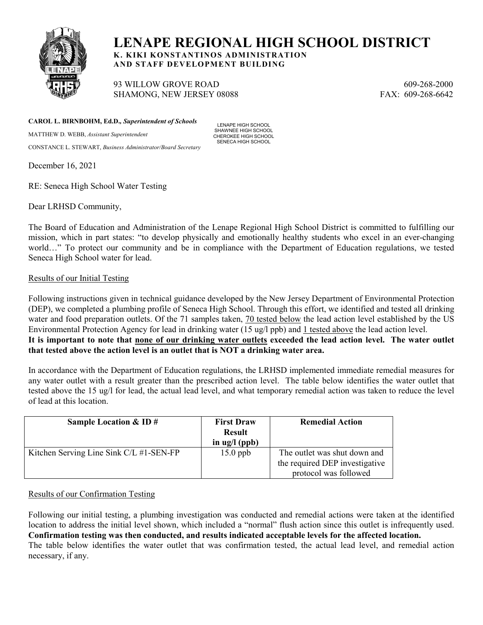

# **LENAPE REGIONAL HIGH SCHOOL DISTRICT**

**K. KIKI KONSTANTINOS ADMINISTRATION AND STAFF DEVELOPMENT BUILDING**

93 WILLOW GROVE ROAD 609-268-2000 SHAMONG, NEW JERSEY 08088 FAX: 609-268-6642

**CAROL L. BIRNBOHM, Ed.D.***, Superintendent of Schools*

MATTHEW D. WEBB, *Assistant Superintendent*  CONSTANCE L. STEWART, *Business Administrator/Board Secretary*

LENAPE HIGH SCHOOL SHAWNEE HIGH SCHOOL CHEROKEE HIGH SCHOOL SENECA HIGH SCHOOL

December 16, 2021

RE: Seneca High School Water Testing

Dear LRHSD Community,

The Board of Education and Administration of the Lenape Regional High School District is committed to fulfilling our mission, which in part states: "to develop physically and emotionally healthy students who excel in an ever-changing world…" To protect our community and be in compliance with the Department of Education regulations, we tested Seneca High School water for lead.

### Results of our Initial Testing

Following instructions given in technical guidance developed by the New Jersey Department of Environmental Protection (DEP), we completed a plumbing profile of Seneca High School. Through this effort, we identified and tested all drinking water and food preparation outlets. Of the 71 samples taken, 70 tested below the lead action level established by the US Environmental Protection Agency for lead in drinking water (15 ug/l ppb) and 1 tested above the lead action level. **It is important to note that none of our drinking water outlets exceeded the lead action level. The water outlet that tested above the action level is an outlet that is NOT a drinking water area.**

In accordance with the Department of Education regulations, the LRHSD implemented immediate remedial measures for any water outlet with a result greater than the prescribed action level. The table below identifies the water outlet that tested above the 15 ug/l for lead, the actual lead level, and what temporary remedial action was taken to reduce the level of lead at this location.

| Sample Location $&$ ID $#$              | <b>First Draw</b><br><b>Result</b><br>in $\text{ug}/\text{l}$ (ppb) | <b>Remedial Action</b>                                                                  |
|-----------------------------------------|---------------------------------------------------------------------|-----------------------------------------------------------------------------------------|
| Kitchen Serving Line Sink C/L #1-SEN-FP | $15.0$ ppb                                                          | The outlet was shut down and<br>the required DEP investigative<br>protocol was followed |

# Results of our Confirmation Testing

Following our initial testing, a plumbing investigation was conducted and remedial actions were taken at the identified location to address the initial level shown, which included a "normal" flush action since this outlet is infrequently used. **Confirmation testing was then conducted, and results indicated acceptable levels for the affected location.** The table below identifies the water outlet that was confirmation tested, the actual lead level, and remedial action necessary, if any.